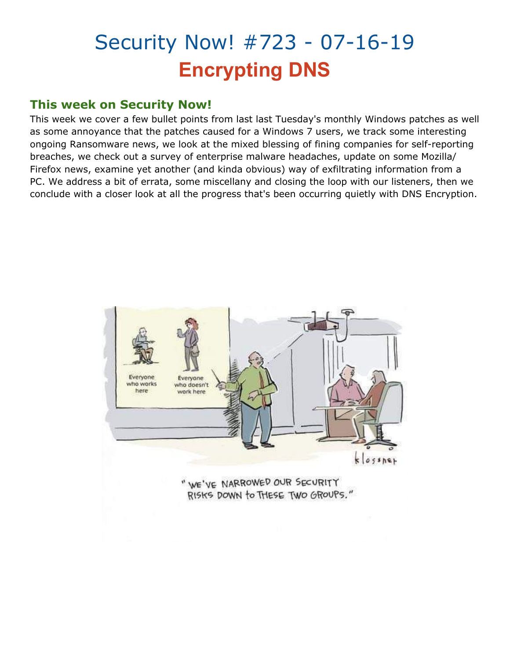# Security Now! #723 - 07-16-19 **Encrypting DNS**

## **This week on Security Now!**

This week we cover a few bullet points from last last Tuesday's monthly Windows patches as well as some annoyance that the patches caused for a Windows 7 users, we track some interesting ongoing Ransomware news, we look at the mixed blessing of fining companies for self-reporting breaches, we check out a survey of enterprise malware headaches, update on some Mozilla/ Firefox news, examine yet another (and kinda obvious) way of exfiltrating information from a PC. We address a bit of errata, some miscellany and closing the loop with our listeners, then we conclude with a closer look at all the progress that's been occurring quietly with DNS Encryption.

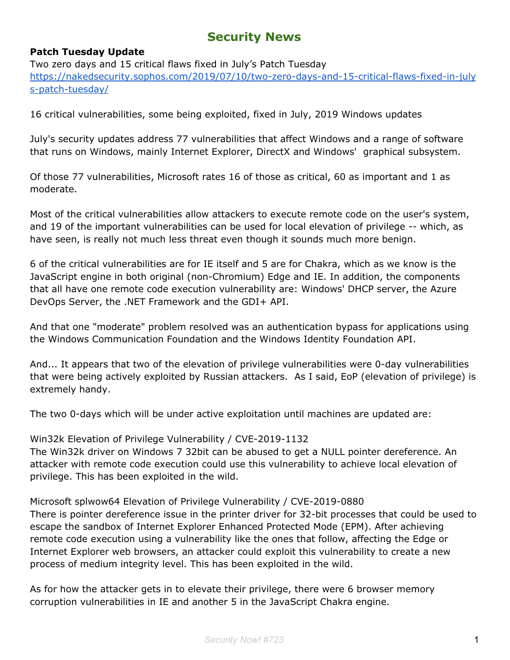## **Security News**

#### **Patch Tuesday Update**

Two zero days and 15 critical flaws fixed in July's Patch Tuesday [https://nakedsecurity.sophos.com/2019/07/10/two-zero-days-and-15-critical-flaws-fixed-in-july](https://nakedsecurity.sophos.com/2019/07/10/two-zero-days-and-15-critical-flaws-fixed-in-julys-patch-tuesday/) [s-patch-tuesday/](https://nakedsecurity.sophos.com/2019/07/10/two-zero-days-and-15-critical-flaws-fixed-in-julys-patch-tuesday/)

16 critical vulnerabilities, some being exploited, fixed in July, 2019 Windows updates

July's security updates address 77 vulnerabilities that affect Windows and a range of software that runs on Windows, mainly Internet Explorer, DirectX and Windows' graphical subsystem.

Of those 77 vulnerabilities, Microsoft rates 16 of those as critical, 60 as important and 1 as moderate.

Most of the critical vulnerabilities allow attackers to execute remote code on the user's system, and 19 of the important vulnerabilities can be used for local elevation of privilege -- which, as have seen, is really not much less threat even though it sounds much more benign.

6 of the critical vulnerabilities are for IE itself and 5 are for Chakra, which as we know is the JavaScript engine in both original (non-Chromium) Edge and IE. In addition, the components that all have one remote code execution vulnerability are: Windows' DHCP server, the Azure DevOps Server, the .NET Framework and the GDI+ API.

And that one "moderate" problem resolved was an authentication bypass for applications using the Windows Communication Foundation and the Windows Identity Foundation API.

And... It appears that two of the elevation of privilege vulnerabilities were 0-day vulnerabilities that were being actively exploited by Russian attackers. As I said, EoP (elevation of privilege) is extremely handy.

The two 0-days which will be under active exploitation until machines are updated are:

Win32k Elevation of Privilege Vulnerability / CVE-2019-1132

The Win32k driver on Windows 7 32bit can be abused to get a NULL pointer dereference. An attacker with remote code execution could use this vulnerability to achieve local elevation of privilege. This has been exploited in the wild.

Microsoft splwow64 Elevation of Privilege Vulnerability / CVE-2019-0880

There is pointer dereference issue in the printer driver for 32-bit processes that could be used to escape the sandbox of Internet Explorer Enhanced Protected Mode (EPM). After achieving remote code execution using a vulnerability like the ones that follow, affecting the Edge or Internet Explorer web browsers, an attacker could exploit this vulnerability to create a new process of medium integrity level. This has been exploited in the wild.

As for how the attacker gets in to elevate their privilege, there were 6 browser memory corruption vulnerabilities in IE and another 5 in the JavaScript Chakra engine.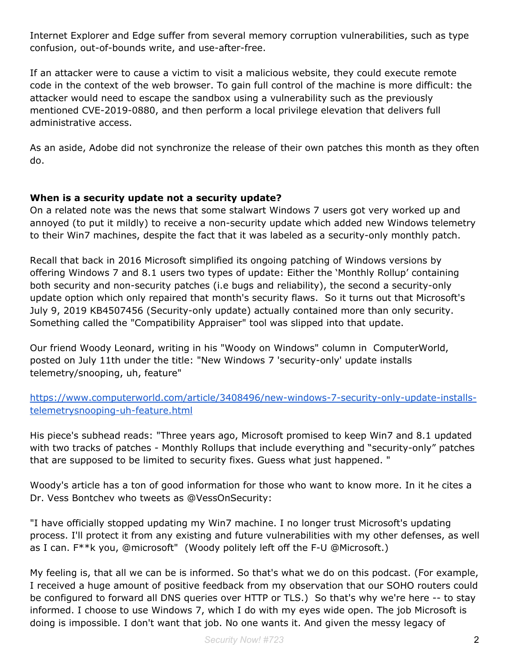Internet Explorer and Edge suffer from several memory corruption vulnerabilities, such as type confusion, out-of-bounds write, and use-after-free.

If an attacker were to cause a victim to visit a malicious website, they could execute remote code in the context of the web browser. To gain full control of the machine is more difficult: the attacker would need to escape the sandbox using a vulnerability such as the previously mentioned CVE-2019-0880, and then perform a local privilege elevation that delivers full administrative access.

As an aside, Adobe did not synchronize the release of their own patches this month as they often do.

#### **When is a security update not a security update?**

On a related note was the news that some stalwart Windows 7 users got very worked up and annoyed (to put it mildly) to receive a non-security update which added new Windows telemetry to their Win7 machines, despite the fact that it was labeled as a security-only monthly patch.

Recall that back in 2016 Microsoft simplified its ongoing patching of Windows versions by offering Windows 7 and 8.1 users two types of update: Either the 'Monthly Rollup' containing both security and non-security patches (i.e bugs and reliability), the second a security-only update option which only repaired that month's security flaws. So it turns out that Microsoft's July 9, 2019 KB4507456 (Security-only update) actually contained more than only security. Something called the "Compatibility Appraiser" tool was slipped into that update.

Our friend Woody Leonard, writing in his "Woody on Windows" column in ComputerWorld, posted on July 11th under the title: "New Windows 7 'security-only' update installs telemetry/snooping, uh, feature"

[https://www.computerworld.com/article/3408496/new-windows-7-security-only-update-installs](https://www.computerworld.com/article/3408496/new-windows-7-security-only-update-installs-telemetrysnooping-uh-feature.html)[telemetrysnooping-uh-feature.html](https://www.computerworld.com/article/3408496/new-windows-7-security-only-update-installs-telemetrysnooping-uh-feature.html)

His piece's subhead reads: "Three years ago, Microsoft promised to keep Win7 and 8.1 updated with two tracks of patches - Monthly Rollups that include everything and "security-only" patches that are supposed to be limited to security fixes. Guess what just happened. "

Woody's article has a ton of good information for those who want to know more. In it he cites a Dr. Vess Bontchev who tweets as @VessOnSecurity:

"I have officially stopped updating my Win7 machine. I no longer trust Microsoft's updating process. I'll protect it from any existing and future vulnerabilities with my other defenses, as well as I can. F\*\*k you, @microsoft" (Woody politely left off the F-U @Microsoft.)

My feeling is, that all we can be is informed. So that's what we do on this podcast. (For example, I received a huge amount of positive feedback from my observation that our SOHO routers could be configured to forward all DNS queries over HTTP or TLS.) So that's why we're here -- to stay informed. I choose to use Windows 7, which I do with my eyes wide open. The job Microsoft is doing is impossible. I don't want that job. No one wants it. And given the messy legacy of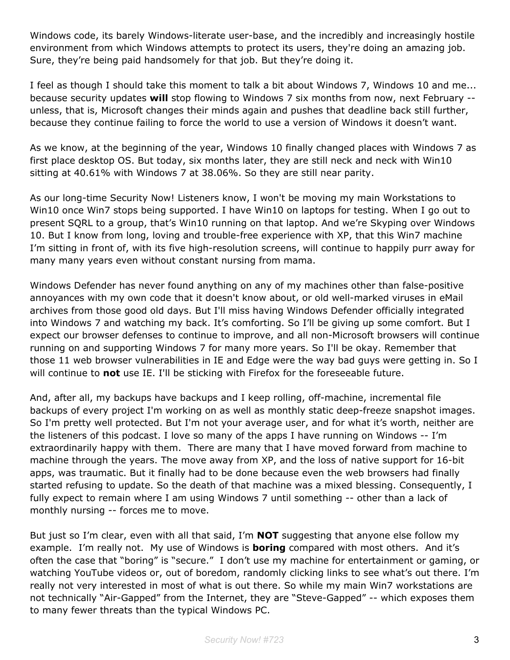Windows code, its barely Windows-literate user-base, and the incredibly and increasingly hostile environment from which Windows attempts to protect its users, they're doing an amazing job. Sure, they're being paid handsomely for that job. But they're doing it.

I feel as though I should take this moment to talk a bit about Windows 7, Windows 10 and me... because security updates **will** stop flowing to Windows 7 six months from now, next February - unless, that is, Microsoft changes their minds again and pushes that deadline back still further, because they continue failing to force the world to use a version of Windows it doesn't want.

As we know, at the beginning of the year, Windows 10 finally changed places with Windows 7 as first place desktop OS. But today, six months later, they are still neck and neck with Win10 sitting at 40.61% with Windows 7 at 38.06%. So they are still near parity.

As our long-time Security Now! Listeners know, I won't be moving my main Workstations to Win10 once Win7 stops being supported. I have Win10 on laptops for testing. When I go out to present SQRL to a group, that's Win10 running on that laptop. And we're Skyping over Windows 10. But I know from long, loving and trouble-free experience with XP, that this Win7 machine I'm sitting in front of, with its five high-resolution screens, will continue to happily purr away for many many years even without constant nursing from mama.

Windows Defender has never found anything on any of my machines other than false-positive annoyances with my own code that it doesn't know about, or old well-marked viruses in eMail archives from those good old days. But I'll miss having Windows Defender officially integrated into Windows 7 and watching my back. It's comforting. So I'll be giving up some comfort. But I expect our browser defenses to continue to improve, and all non-Microsoft browsers will continue running on and supporting Windows 7 for many more years. So I'll be okay. Remember that those 11 web browser vulnerabilities in IE and Edge were the way bad guys were getting in. So I will continue to **not** use IE. I'll be sticking with Firefox for the foreseeable future.

And, after all, my backups have backups and I keep rolling, off-machine, incremental file backups of every project I'm working on as well as monthly static deep-freeze snapshot images. So I'm pretty well protected. But I'm not your average user, and for what it's worth, neither are the listeners of this podcast. I love so many of the apps I have running on Windows -- I'm extraordinarily happy with them. There are many that I have moved forward from machine to machine through the years. The move away from XP, and the loss of native support for 16-bit apps, was traumatic. But it finally had to be done because even the web browsers had finally started refusing to update. So the death of that machine was a mixed blessing. Consequently, I fully expect to remain where I am using Windows 7 until something -- other than a lack of monthly nursing -- forces me to move.

But just so I'm clear, even with all that said, I'm **NOT** suggesting that anyone else follow my example. I'm really not. My use of Windows is **boring** compared with most others. And it's often the case that "boring" is "secure." I don't use my machine for entertainment or gaming, or watching YouTube videos or, out of boredom, randomly clicking links to see what's out there. I'm really not very interested in most of what is out there. So while my main Win7 workstations are not technically "Air-Gapped" from the Internet, they are "Steve-Gapped" -- which exposes them to many fewer threats than the typical Windows PC.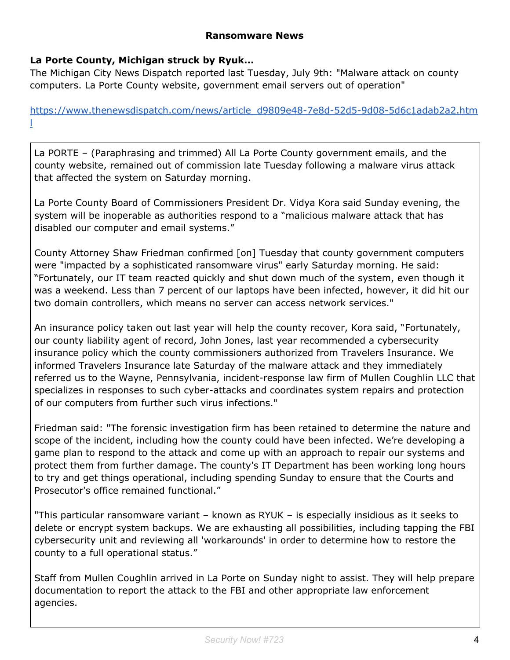#### **Ransomware News**

#### **La Porte County, Michigan struck by Ryuk...**

The Michigan City News Dispatch reported last Tuesday, July 9th: "Malware attack on county computers. La Porte County website, government email servers out of operation"

[https://www.thenewsdispatch.com/news/article\\_d9809e48-7e8d-52d5-9d08-5d6c1adab2a2.htm](https://www.thenewsdispatch.com/news/article_d9809e48-7e8d-52d5-9d08-5d6c1adab2a2.html) [l](https://www.thenewsdispatch.com/news/article_d9809e48-7e8d-52d5-9d08-5d6c1adab2a2.html)

La PORTE – (Paraphrasing and trimmed) All La Porte County government emails, and the county website, remained out of commission late Tuesday following a malware virus attack that affected the system on Saturday morning.

La Porte County Board of Commissioners President Dr. Vidya Kora said Sunday evening, the system will be inoperable as authorities respond to a "malicious malware attack that has disabled our computer and email systems."

County Attorney Shaw Friedman confirmed [on] Tuesday that county government computers were "impacted by a sophisticated ransomware virus" early Saturday morning. He said: "Fortunately, our IT team reacted quickly and shut down much of the system, even though it was a weekend. Less than 7 percent of our laptops have been infected, however, it did hit our two domain controllers, which means no server can access network services."

An insurance policy taken out last year will help the county recover, Kora said, "Fortunately, our county liability agent of record, John Jones, last year recommended a cybersecurity insurance policy which the county commissioners authorized from Travelers Insurance. We informed Travelers Insurance late Saturday of the malware attack and they immediately referred us to the Wayne, Pennsylvania, incident-response law firm of Mullen Coughlin LLC that specializes in responses to such cyber-attacks and coordinates system repairs and protection of our computers from further such virus infections."

Friedman said: "The forensic investigation firm has been retained to determine the nature and scope of the incident, including how the county could have been infected. We're developing a game plan to respond to the attack and come up with an approach to repair our systems and protect them from further damage. The county's IT Department has been working long hours to try and get things operational, including spending Sunday to ensure that the Courts and Prosecutor's office remained functional."

"This particular ransomware variant – known as RYUK – is especially insidious as it seeks to delete or encrypt system backups. We are exhausting all possibilities, including tapping the FBI cybersecurity unit and reviewing all 'workarounds' in order to determine how to restore the county to a full operational status."

Staff from Mullen Coughlin arrived in La Porte on Sunday night to assist. They will help prepare documentation to report the attack to the FBI and other appropriate law enforcement agencies.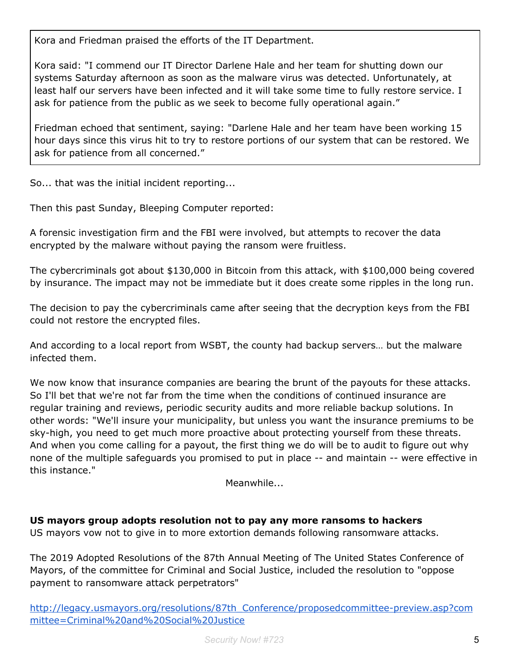Kora and Friedman praised the efforts of the IT Department.

Kora said: "I commend our IT Director Darlene Hale and her team for shutting down our systems Saturday afternoon as soon as the malware virus was detected. Unfortunately, at least half our servers have been infected and it will take some time to fully restore service. I ask for patience from the public as we seek to become fully operational again."

Friedman echoed that sentiment, saying: "Darlene Hale and her team have been working 15 hour days since this virus hit to try to restore portions of our system that can be restored. We ask for patience from all concerned."

So... that was the initial incident reporting...

Then this past Sunday, Bleeping Computer reported:

A forensic investigation firm and the FBI were involved, but attempts to recover the data encrypted by the malware without paying the ransom were fruitless.

The cybercriminals got about \$130,000 in Bitcoin from this attack, with \$100,000 being covered by insurance. The impact may not be immediate but it does create some ripples in the long run.

The decision to pay the cybercriminals came after seeing that the decryption keys from the FBI could not restore the encrypted files.

And according to a local report from WSBT, the county had backup servers… but the malware infected them.

We now know that insurance companies are bearing the brunt of the payouts for these attacks. So I'll bet that we're not far from the time when the conditions of continued insurance are regular training and reviews, periodic security audits and more reliable backup solutions. In other words: "We'll insure your municipality, but unless you want the insurance premiums to be sky-high, you need to get much more proactive about protecting yourself from these threats. And when you come calling for a payout, the first thing we do will be to audit to figure out why none of the multiple safeguards you promised to put in place -- and maintain -- were effective in this instance."

Meanwhile...

**US mayors group adopts resolution not to pay any more ransoms to hackers**

US mayors vow not to give in to more extortion demands following ransomware attacks.

The 2019 Adopted Resolutions of the 87th Annual Meeting of The United States Conference of Mayors, of the committee for Criminal and Social Justice, included the resolution to "oppose payment to ransomware attack perpetrators"

[http://legacy.usmayors.org/resolutions/87th\\_Conference/proposedcommittee-preview.asp?com](http://legacy.usmayors.org/resolutions/87th_Conference/proposedcommittee-preview.asp?committee=Criminal%20and%20Social%20Justice) [mittee=Criminal%20and%20Social%20Justice](http://legacy.usmayors.org/resolutions/87th_Conference/proposedcommittee-preview.asp?committee=Criminal%20and%20Social%20Justice)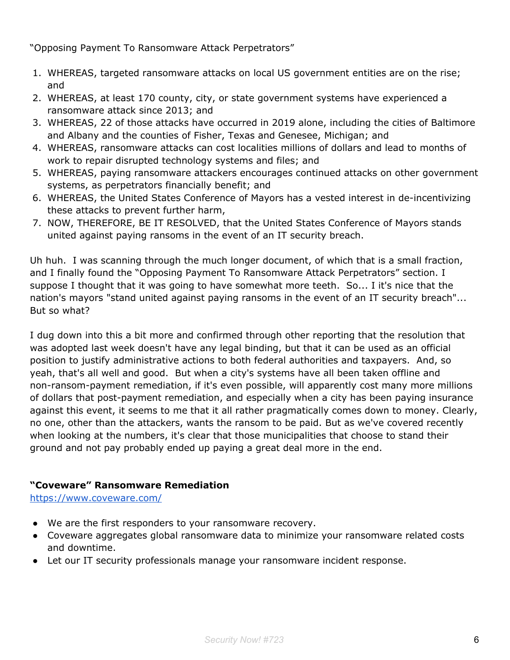"Opposing Payment To Ransomware Attack Perpetrators"

- 1. WHEREAS, targeted ransomware attacks on local US government entities are on the rise; and
- 2. WHEREAS, at least 170 county, city, or state government systems have experienced a ransomware attack since 2013; and
- 3. WHEREAS, 22 of those attacks have occurred in 2019 alone, including the cities of Baltimore and Albany and the counties of Fisher, Texas and Genesee, Michigan; and
- 4. WHEREAS, ransomware attacks can cost localities millions of dollars and lead to months of work to repair disrupted technology systems and files; and
- 5. WHEREAS, paying ransomware attackers encourages continued attacks on other government systems, as perpetrators financially benefit; and
- 6. WHEREAS, the United States Conference of Mayors has a vested interest in de-incentivizing these attacks to prevent further harm,
- 7. NOW, THEREFORE, BE IT RESOLVED, that the United States Conference of Mayors stands united against paying ransoms in the event of an IT security breach.

Uh huh. I was scanning through the much longer document, of which that is a small fraction, and I finally found the "Opposing Payment To Ransomware Attack Perpetrators" section. I suppose I thought that it was going to have somewhat more teeth. So... I it's nice that the nation's mayors "stand united against paying ransoms in the event of an IT security breach"... But so what?

I dug down into this a bit more and confirmed through other reporting that the resolution that was adopted last week doesn't have any legal binding, but that it can be used as an official position to justify administrative actions to both federal authorities and taxpayers. And, so yeah, that's all well and good. But when a city's systems have all been taken offline and non-ransom-payment remediation, if it's even possible, will apparently cost many more millions of dollars that post-payment remediation, and especially when a city has been paying insurance against this event, it seems to me that it all rather pragmatically comes down to money. Clearly, no one, other than the attackers, wants the ransom to be paid. But as we've covered recently when looking at the numbers, it's clear that those municipalities that choose to stand their ground and not pay probably ended up paying a great deal more in the end.

#### **"Coveware" Ransomware Remediation**

<https://www.coveware.com/>

- We are the first responders to your ransomware recovery.
- Coveware aggregates global ransomware data to minimize your ransomware related costs and downtime.
- Let our IT security professionals manage your ransomware incident response.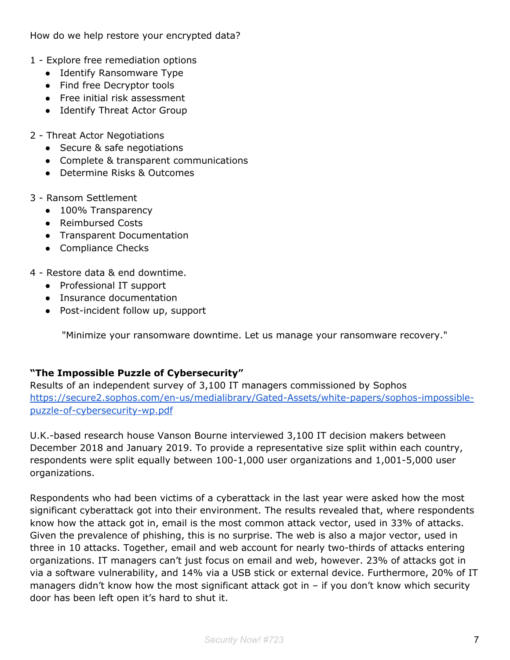How do we help restore your encrypted data?

- 1 Explore free remediation options
	- Identify Ransomware Type
	- Find free Decryptor tools
	- Free initial risk assessment
	- Identify Threat Actor Group
- 2 Threat Actor Negotiations
	- Secure & safe negotiations
	- Complete & transparent communications
	- Determine Risks & Outcomes
- 3 Ransom Settlement
	- 100% Transparency
	- Reimbursed Costs
	- Transparent Documentation
	- Compliance Checks
- 4 Restore data & end downtime.
	- Professional IT support
	- Insurance documentation
	- Post-incident follow up, support

"Minimize your ransomware downtime. Let us manage your ransomware recovery."

#### **"The Impossible Puzzle of Cybersecurity"**

Results of an independent survey of 3,100 IT managers commissioned by Sophos [https://secure2.sophos.com/en-us/medialibrary/Gated-Assets/white-papers/sophos-impossible](https://secure2.sophos.com/en-us/medialibrary/Gated-Assets/white-papers/sophos-impossible-puzzle-of-cybersecurity-wp.pdf)[puzzle-of-cybersecurity-wp.pdf](https://secure2.sophos.com/en-us/medialibrary/Gated-Assets/white-papers/sophos-impossible-puzzle-of-cybersecurity-wp.pdf)

U.K.-based research house Vanson Bourne interviewed 3,100 IT decision makers between December 2018 and January 2019. To provide a representative size split within each country, respondents were split equally between 100-1,000 user organizations and 1,001-5,000 user organizations.

Respondents who had been victims of a cyberattack in the last year were asked how the most significant cyberattack got into their environment. The results revealed that, where respondents know how the attack got in, email is the most common attack vector, used in 33% of attacks. Given the prevalence of phishing, this is no surprise. The web is also a major vector, used in three in 10 attacks. Together, email and web account for nearly two-thirds of attacks entering organizations. IT managers can't just focus on email and web, however. 23% of attacks got in via a software vulnerability, and 14% via a USB stick or external device. Furthermore, 20% of IT managers didn't know how the most significant attack got in  $-$  if you don't know which security door has been left open it's hard to shut it.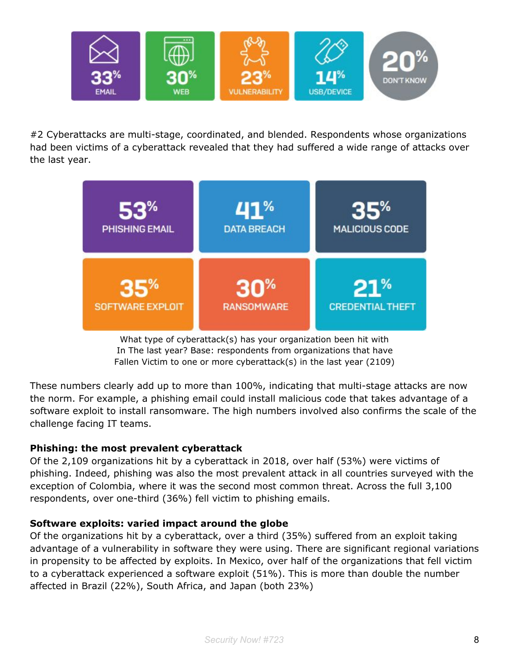

#2 Cyberattacks are multi-stage, coordinated, and blended. Respondents whose organizations had been victims of a cyberattack revealed that they had suffered a wide range of attacks over the last year.



What type of cyberattack(s) has your organization been hit with In The last year? Base: respondents from organizations that have Fallen Victim to one or more cyberattack(s) in the last year (2109)

These numbers clearly add up to more than 100%, indicating that multi-stage attacks are now the norm. For example, a phishing email could install malicious code that takes advantage of a software exploit to install ransomware. The high numbers involved also confirms the scale of the challenge facing IT teams.

#### **Phishing: the most prevalent cyberattack**

Of the 2,109 organizations hit by a cyberattack in 2018, over half (53%) were victims of phishing. Indeed, phishing was also the most prevalent attack in all countries surveyed with the exception of Colombia, where it was the second most common threat. Across the full 3,100 respondents, over one-third (36%) fell victim to phishing emails.

#### **Software exploits: varied impact around the globe**

Of the organizations hit by a cyberattack, over a third (35%) suffered from an exploit taking advantage of a vulnerability in software they were using. There are significant regional variations in propensity to be affected by exploits. In Mexico, over half of the organizations that fell victim to a cyberattack experienced a software exploit (51%). This is more than double the number affected in Brazil (22%), South Africa, and Japan (both 23%)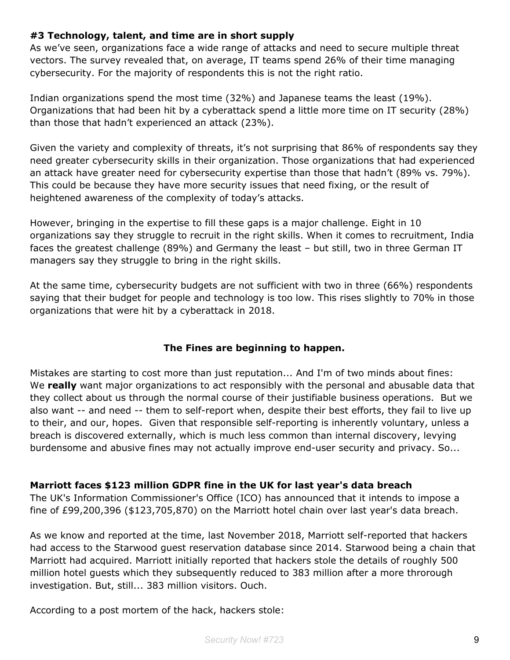#### **#3 Technology, talent, and time are in short supply**

As we've seen, organizations face a wide range of attacks and need to secure multiple threat vectors. The survey revealed that, on average, IT teams spend 26% of their time managing cybersecurity. For the majority of respondents this is not the right ratio.

Indian organizations spend the most time (32%) and Japanese teams the least (19%). Organizations that had been hit by a cyberattack spend a little more time on IT security (28%) than those that hadn't experienced an attack (23%).

Given the variety and complexity of threats, it's not surprising that 86% of respondents say they need greater cybersecurity skills in their organization. Those organizations that had experienced an attack have greater need for cybersecurity expertise than those that hadn't (89% vs. 79%). This could be because they have more security issues that need fixing, or the result of heightened awareness of the complexity of today's attacks.

However, bringing in the expertise to fill these gaps is a major challenge. Eight in 10 organizations say they struggle to recruit in the right skills. When it comes to recruitment, India faces the greatest challenge (89%) and Germany the least – but still, two in three German IT managers say they struggle to bring in the right skills.

At the same time, cybersecurity budgets are not sufficient with two in three (66%) respondents saying that their budget for people and technology is too low. This rises slightly to 70% in those organizations that were hit by a cyberattack in 2018.

#### **The Fines are beginning to happen.**

Mistakes are starting to cost more than just reputation... And I'm of two minds about fines: We **really** want major organizations to act responsibly with the personal and abusable data that they collect about us through the normal course of their justifiable business operations. But we also want -- and need -- them to self-report when, despite their best efforts, they fail to live up to their, and our, hopes. Given that responsible self-reporting is inherently voluntary, unless a breach is discovered externally, which is much less common than internal discovery, levying burdensome and abusive fines may not actually improve end-user security and privacy. So...

#### **Marriott faces \$123 million GDPR fine in the UK for last year's data breach**

The UK's Information Commissioner's Office (ICO) has announced that it intends to impose a fine of £99,200,396 (\$123,705,870) on the Marriott hotel chain over last year's data breach.

As we know and reported at the time, last November 2018, Marriott self-reported that hackers had access to the Starwood guest reservation database since 2014. Starwood being a chain that Marriott had acquired. Marriott initially reported that hackers stole the details of roughly 500 million hotel guests which they subsequently reduced to 383 million after a more throrough investigation. But, still... 383 million visitors. Ouch.

According to a post mortem of the hack, hackers stole: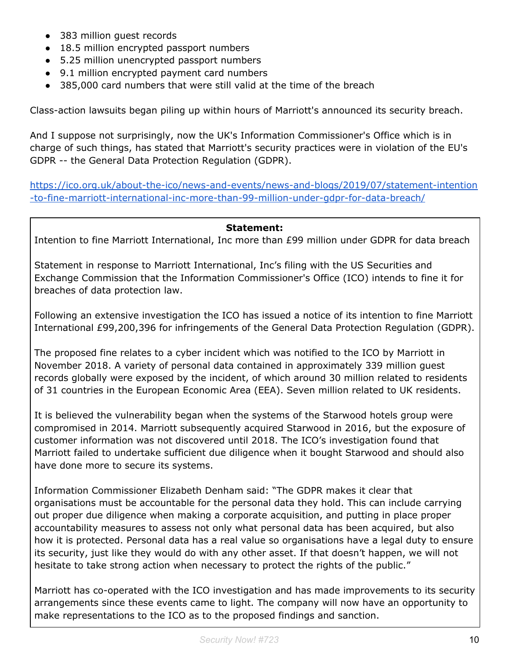- 383 million quest records
- 18.5 million encrypted passport numbers
- 5.25 million unencrypted passport numbers
- 9.1 million encrypted payment card numbers
- 385,000 card numbers that were still valid at the time of the breach

Class-action lawsuits began piling up within hours of Marriott's announced its security breach.

And I suppose not surprisingly, now the UK's Information Commissioner's Office which is in charge of such things, has stated that Marriott's security practices were in violation of the EU's GDPR -- the General Data Protection Regulation (GDPR).

[https://ico.org.uk/about-the-ico/news-and-events/news-and-blogs/2019/07/statement-intention](https://ico.org.uk/about-the-ico/news-and-events/news-and-blogs/2019/07/statement-intention-to-fine-marriott-international-inc-more-than-99-million-under-gdpr-for-data-breach/) [-to-fine-marriott-international-inc-more-than-99-million-under-gdpr-for-data-breach/](https://ico.org.uk/about-the-ico/news-and-events/news-and-blogs/2019/07/statement-intention-to-fine-marriott-international-inc-more-than-99-million-under-gdpr-for-data-breach/)

#### **Statement:**

Intention to fine Marriott International, Inc more than £99 million under GDPR for data breach

Statement in response to Marriott International, Inc's filing with the US Securities and Exchange Commission that the Information Commissioner's Office (ICO) intends to fine it for breaches of data protection law.

Following an extensive investigation the ICO has issued a notice of its intention to fine Marriott International £99,200,396 for infringements of the General Data Protection Regulation (GDPR).

The proposed fine relates to a cyber incident which was notified to the ICO by Marriott in November 2018. A variety of personal data contained in approximately 339 million guest records globally were exposed by the incident, of which around 30 million related to residents of 31 countries in the European Economic Area (EEA). Seven million related to UK residents.

It is believed the vulnerability began when the systems of the Starwood hotels group were compromised in 2014. Marriott subsequently acquired Starwood in 2016, but the exposure of customer information was not discovered until 2018. The ICO's investigation found that Marriott failed to undertake sufficient due diligence when it bought Starwood and should also have done more to secure its systems.

Information Commissioner Elizabeth Denham said: "The GDPR makes it clear that organisations must be accountable for the personal data they hold. This can include carrying out proper due diligence when making a corporate acquisition, and putting in place proper accountability measures to assess not only what personal data has been acquired, but also how it is protected. Personal data has a real value so organisations have a legal duty to ensure its security, just like they would do with any other asset. If that doesn't happen, we will not hesitate to take strong action when necessary to protect the rights of the public."

Marriott has co-operated with the ICO investigation and has made improvements to its security arrangements since these events came to light. The company will now have an opportunity to make representations to the ICO as to the proposed findings and sanction.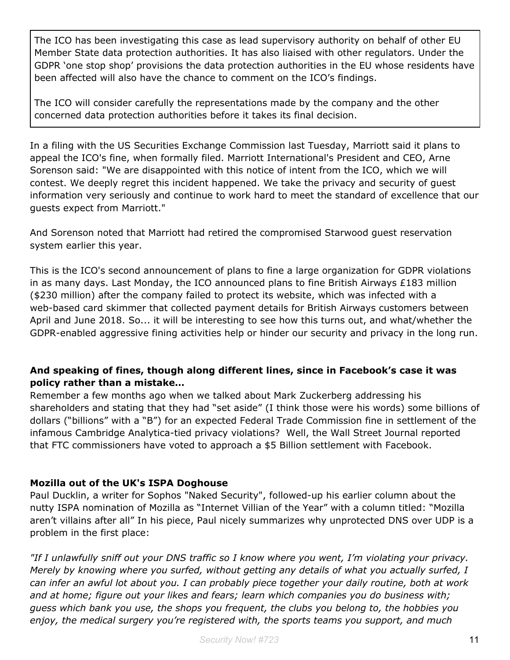The ICO has been investigating this case as lead supervisory authority on behalf of other EU Member State data protection authorities. It has also liaised with other regulators. Under the GDPR 'one stop shop' provisions the data protection authorities in the EU whose residents have been affected will also have the chance to comment on the ICO's findings.

The ICO will consider carefully the representations made by the company and the other concerned data protection authorities before it takes its final decision.

In a filing with the US Securities Exchange Commission last Tuesday, Marriott said it plans to appeal the ICO's fine, when formally filed. Marriott International's President and CEO, Arne Sorenson said: "We are disappointed with this notice of intent from the ICO, which we will contest. We deeply regret this incident happened. We take the privacy and security of guest information very seriously and continue to work hard to meet the standard of excellence that our guests expect from Marriott."

And Sorenson noted that Marriott had retired the compromised Starwood guest reservation system earlier this year.

This is the ICO's second announcement of plans to fine a large organization for GDPR violations in as many days. Last Monday, the ICO announced plans to fine British Airways  $£183$  million (\$230 million) after the company failed to protect its website, which was infected with a web-based card skimmer that collected payment details for British Airways customers between April and June 2018. So... it will be interesting to see how this turns out, and what/whether the GDPR-enabled aggressive fining activities help or hinder our security and privacy in the long run.

#### **And speaking of fines, though along different lines, since in Facebook's case it was policy rather than a mistake…**

Remember a few months ago when we talked about Mark Zuckerberg addressing his shareholders and stating that they had "set aside" (I think those were his words) some billions of dollars ("billions" with a "B") for an expected Federal Trade Commission fine in settlement of the infamous Cambridge Analytica-tied privacy violations? Well, the Wall Street Journal reported that FTC commissioners have voted to approach a \$5 Billion settlement with Facebook.

#### **Mozilla out of the UK's ISPA Doghouse**

Paul Ducklin, a writer for Sophos "Naked Security", followed-up his earlier column about the nutty ISPA nomination of Mozilla as "Internet Villian of the Year" with a column titled: "Mozilla aren't villains after all" In his piece, Paul nicely summarizes why unprotected DNS over UDP is a problem in the first place:

*"If I unlawfully sniff out your DNS traffic so I know where you went, I'm violating your privacy. Merely by knowing where you surfed, without getting any details of what you actually surfed, I can infer an awful lot about you. I can probably piece together your daily routine, both at work and at home; figure out your likes and fears; learn which companies you do business with; guess which bank you use, the shops you frequent, the clubs you belong to, the hobbies you enjoy, the medical surgery you're registered with, the sports teams you support, and much*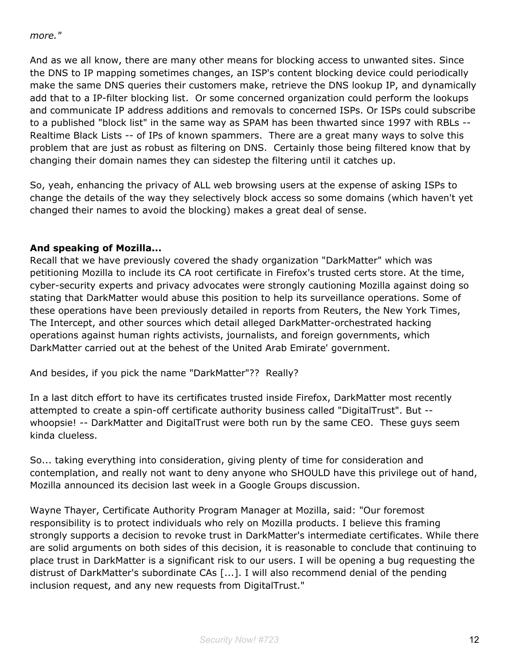#### *more."*

And as we all know, there are many other means for blocking access to unwanted sites. Since the DNS to IP mapping sometimes changes, an ISP's content blocking device could periodically make the same DNS queries their customers make, retrieve the DNS lookup IP, and dynamically add that to a IP-filter blocking list. Or some concerned organization could perform the lookups and communicate IP address additions and removals to concerned ISPs. Or ISPs could subscribe to a published "block list" in the same way as SPAM has been thwarted since 1997 with RBLs -- Realtime Black Lists -- of IPs of known spammers. There are a great many ways to solve this problem that are just as robust as filtering on DNS. Certainly those being filtered know that by changing their domain names they can sidestep the filtering until it catches up.

So, yeah, enhancing the privacy of ALL web browsing users at the expense of asking ISPs to change the details of the way they selectively block access so some domains (which haven't yet changed their names to avoid the blocking) makes a great deal of sense.

#### **And speaking of Mozilla...**

Recall that we have previously covered the shady organization "DarkMatter" which was petitioning Mozilla to include its CA root certificate in Firefox's trusted certs store. At the time, cyber-security experts and privacy advocates were strongly cautioning Mozilla against doing so stating that DarkMatter would abuse this position to help its surveillance operations. Some of these operations have been previously detailed in reports from Reuters, the New York Times, The Intercept, and other sources which detail alleged DarkMatter-orchestrated hacking operations against human rights activists, journalists, and foreign governments, which DarkMatter carried out at the behest of the United Arab Emirate' government.

And besides, if you pick the name "DarkMatter"?? Really?

In a last ditch effort to have its certificates trusted inside Firefox, DarkMatter most recently attempted to create a spin-off certificate authority business called "DigitalTrust". But - whoopsie! -- DarkMatter and DigitalTrust were both run by the same CEO. These guys seem kinda clueless.

So... taking everything into consideration, giving plenty of time for consideration and contemplation, and really not want to deny anyone who SHOULD have this privilege out of hand, Mozilla announced its decision last week in a Google Groups discussion.

Wayne Thayer, Certificate Authority Program Manager at Mozilla, said: "Our foremost responsibility is to protect individuals who rely on Mozilla products. I believe this framing strongly supports a decision to revoke trust in DarkMatter's intermediate certificates. While there are solid arguments on both sides of this decision, it is reasonable to conclude that continuing to place trust in DarkMatter is a significant risk to our users. I will be opening a bug requesting the distrust of DarkMatter's subordinate CAs [...]. I will also recommend denial of the pending inclusion request, and any new requests from DigitalTrust."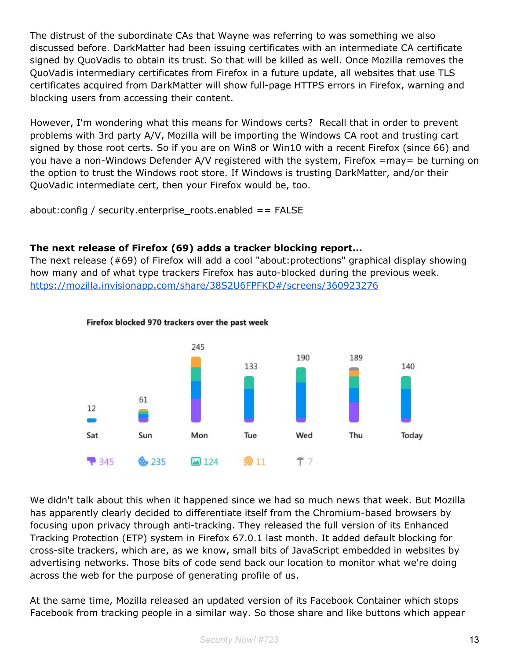The distrust of the subordinate CAs that Wayne was referring to was something we also discussed before. DarkMatter had been issuing certificates with an intermediate CA certificate signed by QuoVadis to obtain its trust. So that will be killed as well. Once Mozilla removes the QuoVadis intermediary certificates from Firefox in a future update, all websites that use TLS certificates acquired from DarkMatter will show full-page HTTPS errors in Firefox, warning and blocking users from accessing their content.

However, I'm wondering what this means for Windows certs? Recall that in order to prevent problems with 3rd party A/V, Mozilla will be importing the Windows CA root and trusting cart signed by those root certs. So if you are on Win8 or Win10 with a recent Firefox (since 66) and you have a non-Windows Defender A/V registered with the system, Firefox =may= be turning on the option to trust the Windows root store. If Windows is trusting DarkMatter, and/or their QuoVadic intermediate cert, then your Firefox would be, too.

about:config / security.enterprise\_roots.enabled == FALSE

#### **The next release of Firefox (69) adds a tracker blocking report...**

The next release (#69) of Firefox will add a cool "about:protections" graphical display showing how many and of what type trackers Firefox has auto-blocked during the previous week. <https://mozilla.invisionapp.com/share/38S2U6FPFKD#/screens/360923276>



#### Firefox blocked 970 trackers over the past week

We didn't talk about this when it happened since we had so much news that week. But Mozilla has apparently clearly decided to differentiate itself from the Chromium-based browsers by focusing upon privacy through anti-tracking. They released the full version of its Enhanced Tracking Protection (ETP) system in Firefox 67.0.1 last month. It added default blocking for cross-site trackers, which are, as we know, small bits of JavaScript embedded in websites by advertising networks. Those bits of code send back our location to monitor what we're doing across the web for the purpose of generating profile of us.

At the same time, Mozilla released an updated version of its Facebook Container which stops Facebook from tracking people in a similar way. So those share and like buttons which appear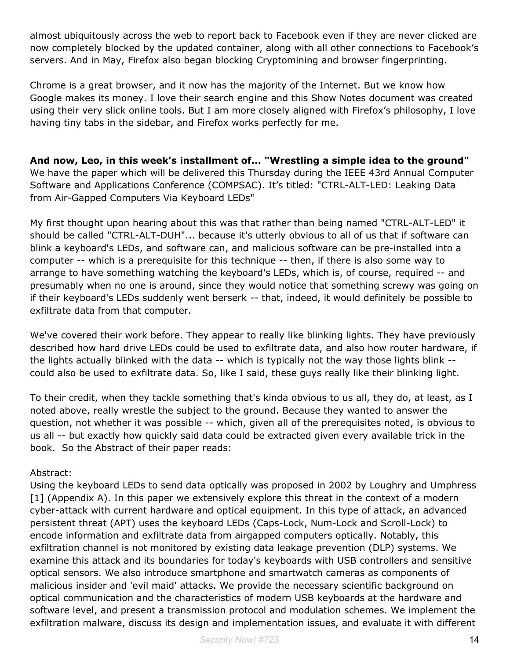almost ubiquitously across the web to report back to Facebook even if they are never clicked are now completely blocked by the updated container, along with all other connections to Facebook's servers. And in May, Firefox also began blocking Cryptomining and browser fingerprinting.

Chrome is a great browser, and it now has the majority of the Internet. But we know how Google makes its money. I love their search engine and this Show Notes document was created using their very slick online tools. But I am more closely aligned with Firefox's philosophy, I love having tiny tabs in the sidebar, and Firefox works perfectly for me.

**And now, Leo, in this week's installment of... "Wrestling a simple idea to the ground"** We have the paper which will be delivered this Thursday during the IEEE 43rd Annual Computer Software and Applications Conference (COMPSAC). It's titled: "CTRL-ALT-LED: Leaking Data from Air-Gapped Computers Via Keyboard LEDs"

My first thought upon hearing about this was that rather than being named "CTRL-ALT-LED" it should be called "CTRL-ALT-DUH"... because it's utterly obvious to all of us that if software can blink a keyboard's LEDs, and software can, and malicious software can be pre-installed into a computer -- which is a prerequisite for this technique -- then, if there is also some way to arrange to have something watching the keyboard's LEDs, which is, of course, required -- and presumably when no one is around, since they would notice that something screwy was going on if their keyboard's LEDs suddenly went berserk -- that, indeed, it would definitely be possible to exfiltrate data from that computer.

We've covered their work before. They appear to really like blinking lights. They have previously described how hard drive LEDs could be used to exfiltrate data, and also how router hardware, if the lights actually blinked with the data -- which is typically not the way those lights blink - could also be used to exfiltrate data. So, like I said, these guys really like their blinking light.

To their credit, when they tackle something that's kinda obvious to us all, they do, at least, as I noted above, really wrestle the subject to the ground. Because they wanted to answer the question, not whether it was possible -- which, given all of the prerequisites noted, is obvious to us all -- but exactly how quickly said data could be extracted given every available trick in the book. So the Abstract of their paper reads:

#### Abstract:

Using the keyboard LEDs to send data optically was proposed in 2002 by Loughry and Umphress [1] (Appendix A). In this paper we extensively explore this threat in the context of a modern cyber-attack with current hardware and optical equipment. In this type of attack, an advanced persistent threat (APT) uses the keyboard LEDs (Caps-Lock, Num-Lock and Scroll-Lock) to encode information and exfiltrate data from airgapped computers optically. Notably, this exfiltration channel is not monitored by existing data leakage prevention (DLP) systems. We examine this attack and its boundaries for today's keyboards with USB controllers and sensitive optical sensors. We also introduce smartphone and smartwatch cameras as components of malicious insider and 'evil maid' attacks. We provide the necessary scientific background on optical communication and the characteristics of modern USB keyboards at the hardware and software level, and present a transmission protocol and modulation schemes. We implement the exfiltration malware, discuss its design and implementation issues, and evaluate it with different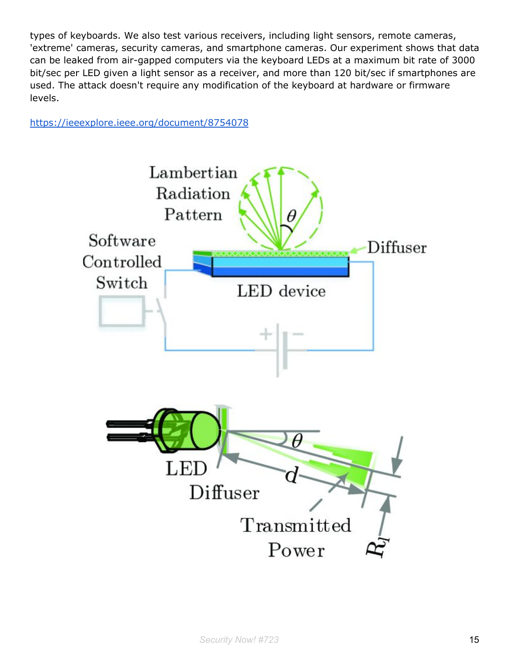types of keyboards. We also test various receivers, including light sensors, remote cameras, 'extreme' cameras, security cameras, and smartphone cameras. Our experiment shows that data can be leaked from air-gapped computers via the keyboard LEDs at a maximum bit rate of 3000 bit/sec per LED given a light sensor as a receiver, and more than 120 bit/sec if smartphones are used. The attack doesn't require any modification of the keyboard at hardware or firmware levels.

<https://ieeexplore.ieee.org/document/8754078>

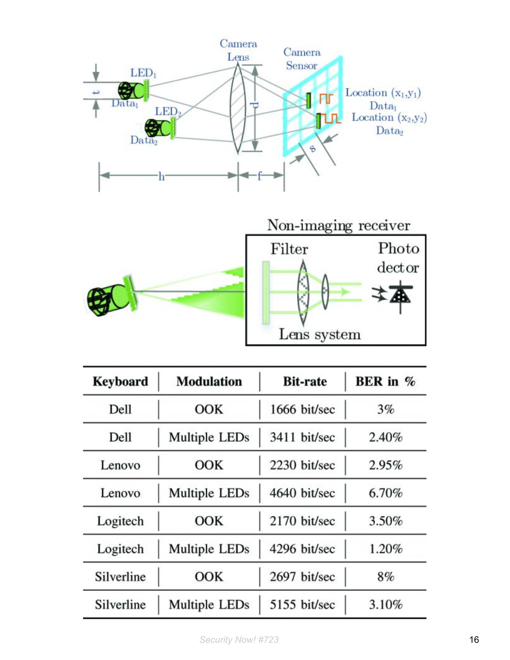

| <b>Keyboard</b> | <b>Modulation</b> | <b>Bit-rate</b> | BER in $\%$ |
|-----------------|-------------------|-----------------|-------------|
| Dell            | <b>OOK</b>        | 1666 bit/sec    | 3%          |
| Dell            | Multiple LEDs     | 3411 bit/sec    | 2.40%       |
| Lenovo          | <b>OOK</b>        | 2230 bit/sec    | 2.95%       |
| Lenovo          | Multiple LEDs     | 4640 bit/sec    | 6.70%       |
| Logitech        | <b>OOK</b>        | 2170 bit/sec    | $3.50\%$    |
| Logitech        | Multiple LEDs     | 4296 bit/sec    | 1.20%       |
| Silverline      | <b>OOK</b>        | 2697 bit/sec    | $8\%$       |
| Silverline      | Multiple LEDs     | 5155 bit/sec    | 3.10%       |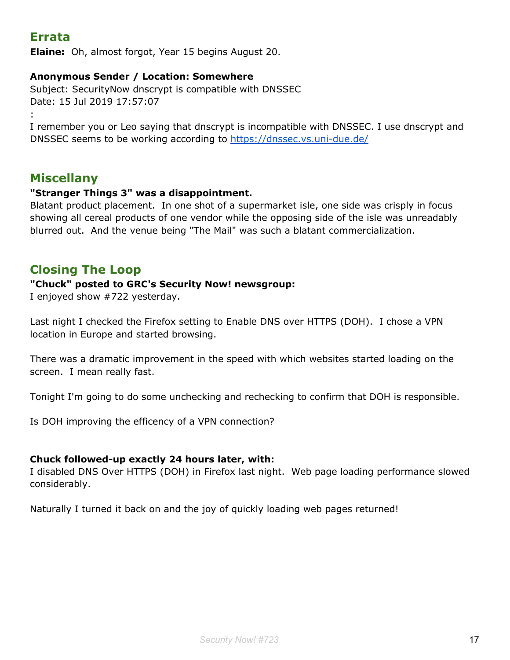# **Errata**

**Elaine:** Oh, almost forgot, Year 15 begins August 20.

#### **Anonymous Sender / Location: Somewhere**

Subject: SecurityNow dnscrypt is compatible with DNSSEC Date: 15 Jul 2019 17:57:07

:

I remember you or Leo saying that dnscrypt is incompatible with DNSSEC. I use dnscrypt and DNSSEC seems to be working according to <https://dnssec.vs.uni-due.de/>

### **Miscellany**

#### **"Stranger Things 3" was a disappointment.**

Blatant product placement. In one shot of a supermarket isle, one side was crisply in focus showing all cereal products of one vendor while the opposing side of the isle was unreadably blurred out. And the venue being "The Mail" was such a blatant commercialization.

# **Closing The Loop**

#### **"Chuck" posted to GRC's Security Now! newsgroup:**

I enjoyed show #722 yesterday.

Last night I checked the Firefox setting to Enable DNS over HTTPS (DOH). I chose a VPN location in Europe and started browsing.

There was a dramatic improvement in the speed with which websites started loading on the screen. I mean really fast.

Tonight I'm going to do some unchecking and rechecking to confirm that DOH is responsible.

Is DOH improving the efficency of a VPN connection?

#### **Chuck followed-up exactly 24 hours later, with:**

I disabled DNS Over HTTPS (DOH) in Firefox last night. Web page loading performance slowed considerably.

Naturally I turned it back on and the joy of quickly loading web pages returned!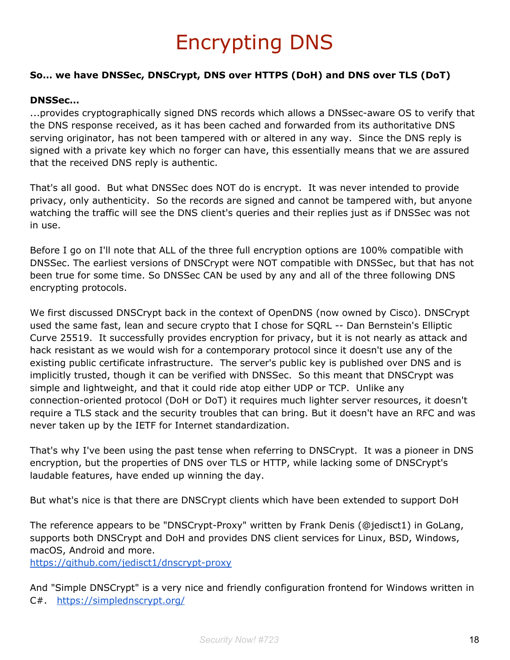# Encrypting DNS

#### **So… we have DNSSec, DNSCrypt, DNS over HTTPS (DoH) and DNS over TLS (DoT)**

#### **DNSSec…**

...provides cryptographically signed DNS records which allows a DNSsec-aware OS to verify that the DNS response received, as it has been cached and forwarded from its authoritative DNS serving originator, has not been tampered with or altered in any way. Since the DNS reply is signed with a private key which no forger can have, this essentially means that we are assured that the received DNS reply is authentic.

That's all good. But what DNSSec does NOT do is encrypt. It was never intended to provide privacy, only authenticity. So the records are signed and cannot be tampered with, but anyone watching the traffic will see the DNS client's queries and their replies just as if DNSSec was not in use.

Before I go on I'll note that ALL of the three full encryption options are 100% compatible with DNSSec. The earliest versions of DNSCrypt were NOT compatible with DNSSec, but that has not been true for some time. So DNSSec CAN be used by any and all of the three following DNS encrypting protocols.

We first discussed DNSCrypt back in the context of OpenDNS (now owned by Cisco). DNSCrypt used the same fast, lean and secure crypto that I chose for SQRL -- Dan Bernstein's Elliptic Curve 25519. It successfully provides encryption for privacy, but it is not nearly as attack and hack resistant as we would wish for a contemporary protocol since it doesn't use any of the existing public certificate infrastructure. The server's public key is published over DNS and is implicitly trusted, though it can be verified with DNSSec. So this meant that DNSCrypt was simple and lightweight, and that it could ride atop either UDP or TCP. Unlike any connection-oriented protocol (DoH or DoT) it requires much lighter server resources, it doesn't require a TLS stack and the security troubles that can bring. But it doesn't have an RFC and was never taken up by the IETF for Internet standardization.

That's why I've been using the past tense when referring to DNSCrypt. It was a pioneer in DNS encryption, but the properties of DNS over TLS or HTTP, while lacking some of DNSCrypt's laudable features, have ended up winning the day.

But what's nice is that there are DNSCrypt clients which have been extended to support DoH

The reference appears to be "DNSCrypt-Proxy" written by Frank Denis (@jedisct1) in GoLang, supports both DNSCrypt and DoH and provides DNS client services for Linux, BSD, Windows, macOS, Android and more.

<https://github.com/jedisct1/dnscrypt-proxy>

And "Simple DNSCrypt" is a very nice and friendly configuration frontend for Windows written in C#. <https://simplednscrypt.org/>